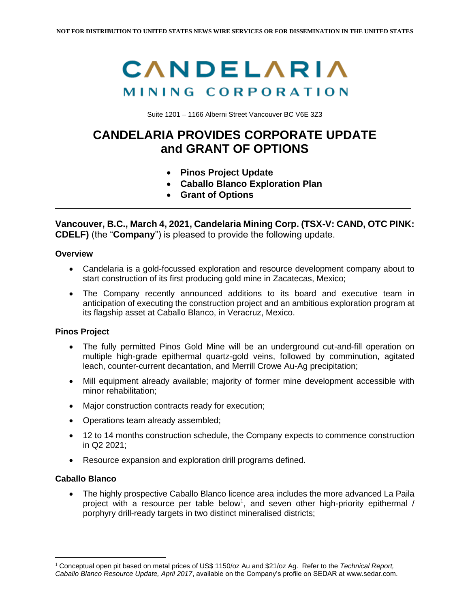# CANDELARIA MINING CORPORATION

Suite 1201 – 1166 Alberni Street Vancouver BC V6E 3Z3

## **CANDELARIA PROVIDES CORPORATE UPDATE and GRANT OF OPTIONS**

- **Pinos Project Update**
- **Caballo Blanco Exploration Plan**
- **Grant of Options**

**Vancouver, B.C., March 4, 2021, Candelaria Mining Corp. (TSX-V: CAND, OTC PINK: CDELF)** (the "**Company**") is pleased to provide the following update.

### **Overview**

- Candelaria is a gold-focussed exploration and resource development company about to start construction of its first producing gold mine in Zacatecas, Mexico;
- The Company recently announced additions to its board and executive team in anticipation of executing the construction project and an ambitious exploration program at its flagship asset at Caballo Blanco, in Veracruz, Mexico.

### **Pinos Project**

- The fully permitted Pinos Gold Mine will be an underground cut-and-fill operation on multiple high-grade epithermal quartz-gold veins, followed by comminution, agitated leach, counter-current decantation, and Merrill Crowe Au-Ag precipitation;
- Mill equipment already available; majority of former mine development accessible with minor rehabilitation;
- Major construction contracts ready for execution;
- Operations team already assembled;
- 12 to 14 months construction schedule, the Company expects to commence construction in Q2 2021;
- Resource expansion and exploration drill programs defined.

### **Caballo Blanco**

• The highly prospective Caballo Blanco licence area includes the more advanced La Paila project with a resource per table below<sup>1</sup>, and seven other high-priority epithermal / porphyry drill-ready targets in two distinct mineralised districts;

<sup>1</sup> Conceptual open pit based on metal prices of US\$ 1150/oz Au and \$21/oz Ag. Refer to the *Technical Report, Caballo Blanco Resource Update, April 2017*, available on the Company's profile on SEDAR at www.sedar.com.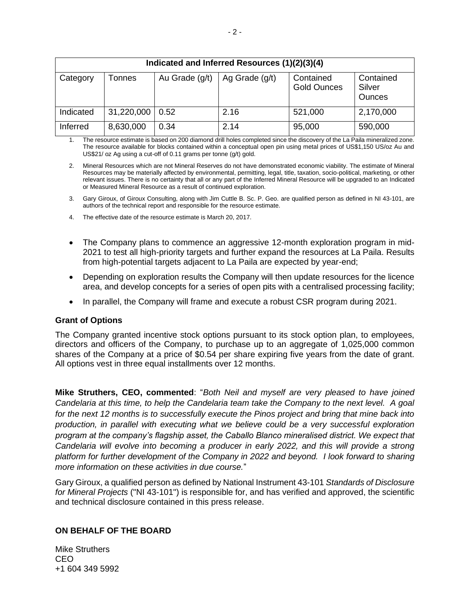| Indicated and Inferred Resources (1)(2)(3)(4) |               |                |                  |                                 |                                      |
|-----------------------------------------------|---------------|----------------|------------------|---------------------------------|--------------------------------------|
| Category                                      | <b>Tonnes</b> | Au Grade (g/t) | Ag Grade $(g/t)$ | Contained<br><b>Gold Ounces</b> | Contained<br>Silver<br><b>Ounces</b> |
| Indicated                                     | 31,220,000    | 0.52           | 2.16             | 521,000                         | 2,170,000                            |
| Inferred                                      | 8,630,000     | 0.34           | 2.14             | 95,000                          | 590,000                              |

The resource estimate is based on 200 diamond drill holes completed since the discovery of the La Paila mineralized zone. The resource available for blocks contained within a conceptual open pin using metal prices of US\$1,150 US/oz Au and US\$21/ oz Ag using a cut-off of 0.11 grams per tonne (g/t) gold.

2. Mineral Resources which are not Mineral Reserves do not have demonstrated economic viability. The estimate of Mineral Resources may be materially affected by environmental, permitting, legal, title, taxation, socio-political, marketing, or other relevant issues. There is no certainty that all or any part of the Inferred Mineral Resource will be upgraded to an Indicated or Measured Mineral Resource as a result of continued exploration.

- 3. Gary Giroux, of Giroux Consulting, along with Jim Cuttle B. Sc. P. Geo. are qualified person as defined in NI 43-101, are authors of the technical report and responsible for the resource estimate.
- 4. The effective date of the resource estimate is March 20, 2017.
- The Company plans to commence an aggressive 12-month exploration program in mid-2021 to test all high-priority targets and further expand the resources at La Paila. Results from high-potential targets adjacent to La Paila are expected by year-end;
- Depending on exploration results the Company will then update resources for the licence area, and develop concepts for a series of open pits with a centralised processing facility;
- In parallel, the Company will frame and execute a robust CSR program during 2021.

### **Grant of Options**

The Company granted incentive stock options pursuant to its stock option plan, to employees, directors and officers of the Company, to purchase up to an aggregate of 1,025,000 common shares of the Company at a price of \$0.54 per share expiring five years from the date of grant. All options vest in three equal installments over 12 months.

**Mike Struthers, CEO, commented**: "*Both Neil and myself are very pleased to have joined Candelaria at this time, to help the Candelaria team take the Company to the next level. A goal*  for the next 12 months is to successfully execute the Pinos project and bring that mine back into *production, in parallel with executing what we believe could be a very successful exploration program at the company's flagship asset, the Caballo Blanco mineralised district. We expect that Candelaria will evolve into becoming a producer in early 2022, and this will provide a strong platform for further development of the Company in 2022 and beyond. I look forward to sharing more information on these activities in due course.*"

Gary Giroux, a qualified person as defined by National Instrument 43-101 *Standards of Disclosure for Mineral Projects* ("NI 43-101") is responsible for, and has verified and approved, the scientific and technical disclosure contained in this press release.

### **ON BEHALF OF THE BOARD**

Mike Struthers CEO +1 604 349 5992